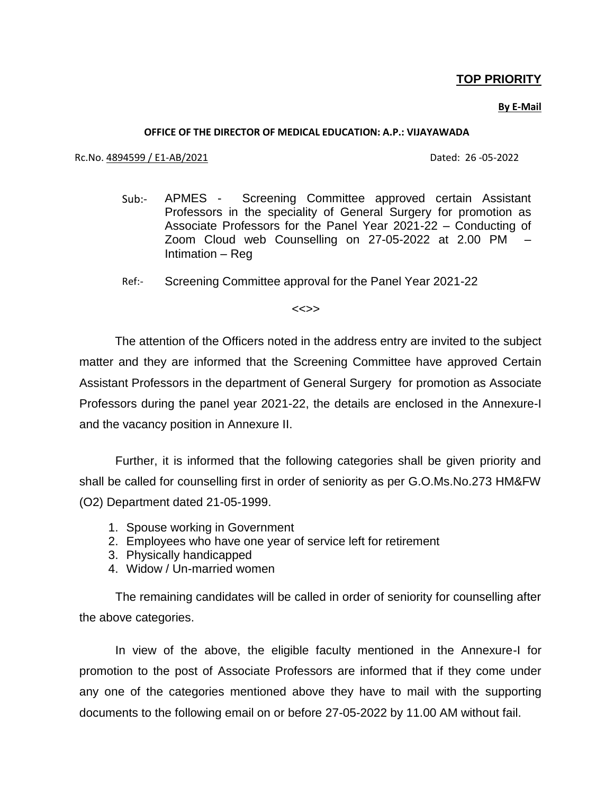## **TOP PRIORITY**

### **By E-Mail**

#### **OFFICE OF THE DIRECTOR OF MEDICAL EDUCATION: A.P.: VIJAYAWADA**

#### Rc.No. 4894599 / E1-AB/2021 Dated: 26 -05-2022

- Sub:- APMES Screening Committee approved certain Assistant Professors in the speciality of General Surgery for promotion as Associate Professors for the Panel Year 2021-22 – Conducting of Zoom Cloud web Counselling on 27-05-2022 at 2.00 PM – Intimation – Reg
- Ref:- Screening Committee approval for the Panel Year 2021-22

#### <<>>

 The attention of the Officers noted in the address entry are invited to the subject matter and they are informed that the Screening Committee have approved Certain Assistant Professors in the department of General Surgery for promotion as Associate Professors during the panel year 2021-22, the details are enclosed in the Annexure-I and the vacancy position in Annexure II.

Further, it is informed that the following categories shall be given priority and shall be called for counselling first in order of seniority as per G.O.Ms.No.273 HM&FW (O2) Department dated 21-05-1999.

- 1. Spouse working in Government
- 2. Employees who have one year of service left for retirement
- 3. Physically handicapped
- 4. Widow / Un-married women

The remaining candidates will be called in order of seniority for counselling after the above categories.

In view of the above, the eligible faculty mentioned in the Annexure-I for promotion to the post of Associate Professors are informed that if they come under any one of the categories mentioned above they have to mail with the supporting documents to the following email on or before 27-05-2022 by 11.00 AM without fail.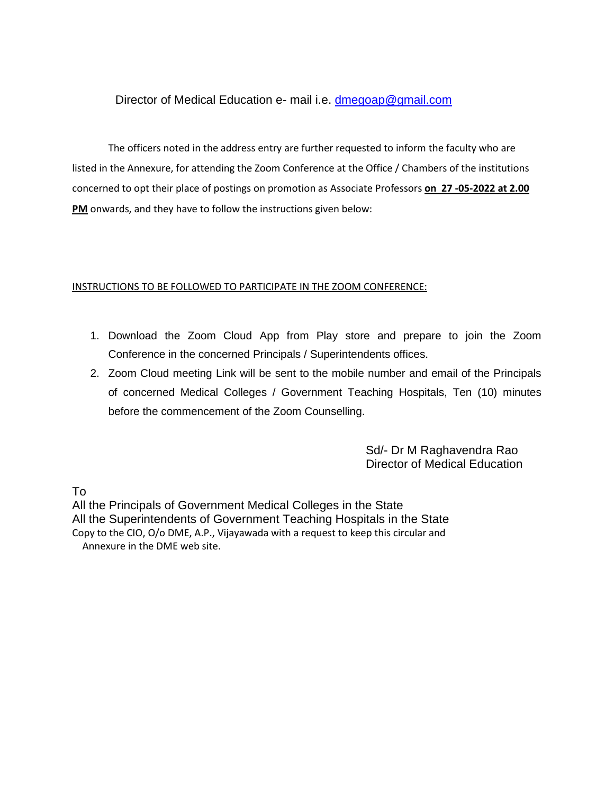### Director of Medical Education e- mail i.e. [dmegoap@gmail.com](mailto:dmegoap@gmail.com)

The officers noted in the address entry are further requested to inform the faculty who are listed in the Annexure, for attending the Zoom Conference at the Office / Chambers of the institutions concerned to opt their place of postings on promotion as Associate Professors **on 27 -05-2022 at 2.00 PM** onwards, and they have to follow the instructions given below:

### INSTRUCTIONS TO BE FOLLOWED TO PARTICIPATE IN THE ZOOM CONFERENCE:

- 1. Download the Zoom Cloud App from Play store and prepare to join the Zoom Conference in the concerned Principals / Superintendents offices.
- 2. Zoom Cloud meeting Link will be sent to the mobile number and email of the Principals of concerned Medical Colleges / Government Teaching Hospitals, Ten (10) minutes before the commencement of the Zoom Counselling.

 Sd/- Dr M Raghavendra Rao Director of Medical Education

To

All the Principals of Government Medical Colleges in the State All the Superintendents of Government Teaching Hospitals in the State Copy to the CIO, O/o DME, A.P., Vijayawada with a request to keep this circular and Annexure in the DME web site.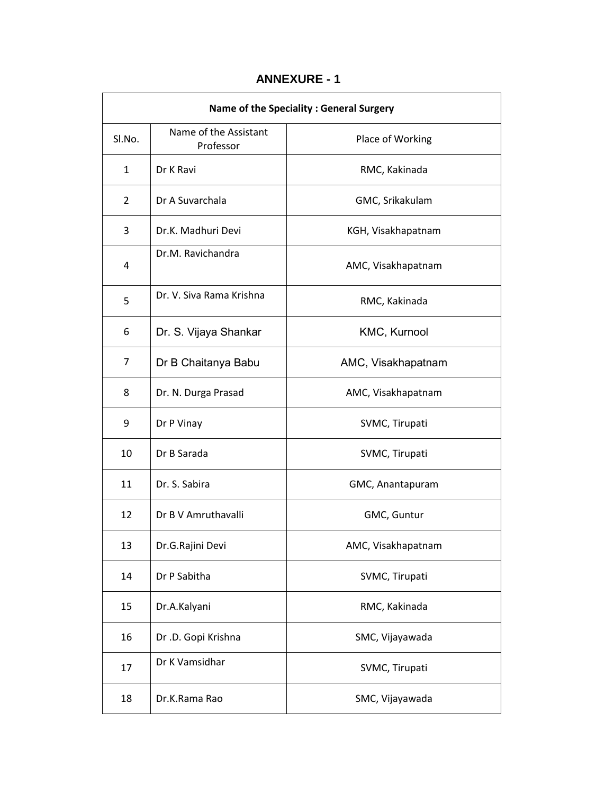## **ANNEXURE - 1**

| Name of the Speciality : General Surgery |                                    |                    |  |  |  |
|------------------------------------------|------------------------------------|--------------------|--|--|--|
| Sl.No.                                   | Name of the Assistant<br>Professor | Place of Working   |  |  |  |
| $\mathbf{1}$                             | Dr K Ravi                          | RMC, Kakinada      |  |  |  |
| $\overline{2}$                           | Dr A Suvarchala                    | GMC, Srikakulam    |  |  |  |
| 3                                        | Dr.K. Madhuri Devi                 | KGH, Visakhapatnam |  |  |  |
| 4                                        | Dr.M. Ravichandra                  | AMC, Visakhapatnam |  |  |  |
| 5                                        | Dr. V. Siva Rama Krishna           | RMC, Kakinada      |  |  |  |
| 6                                        | Dr. S. Vijaya Shankar              | KMC, Kurnool       |  |  |  |
| 7                                        | Dr B Chaitanya Babu                | AMC, Visakhapatnam |  |  |  |
| 8                                        | Dr. N. Durga Prasad                | AMC, Visakhapatnam |  |  |  |
| 9                                        | Dr P Vinay                         | SVMC, Tirupati     |  |  |  |
| 10                                       | Dr B Sarada                        | SVMC, Tirupati     |  |  |  |
| 11                                       | Dr. S. Sabira                      | GMC, Anantapuram   |  |  |  |
| 12                                       | Dr B V Amruthavalli                | GMC, Guntur        |  |  |  |
| 13                                       | Dr.G.Rajini Devi                   | AMC, Visakhapatnam |  |  |  |
| 14                                       | Dr P Sabitha                       | SVMC, Tirupati     |  |  |  |
| 15                                       | Dr.A.Kalyani                       | RMC, Kakinada      |  |  |  |
| 16                                       | Dr .D. Gopi Krishna                | SMC, Vijayawada    |  |  |  |
| 17                                       | Dr K Vamsidhar                     | SVMC, Tirupati     |  |  |  |
| 18                                       | Dr.K.Rama Rao                      | SMC, Vijayawada    |  |  |  |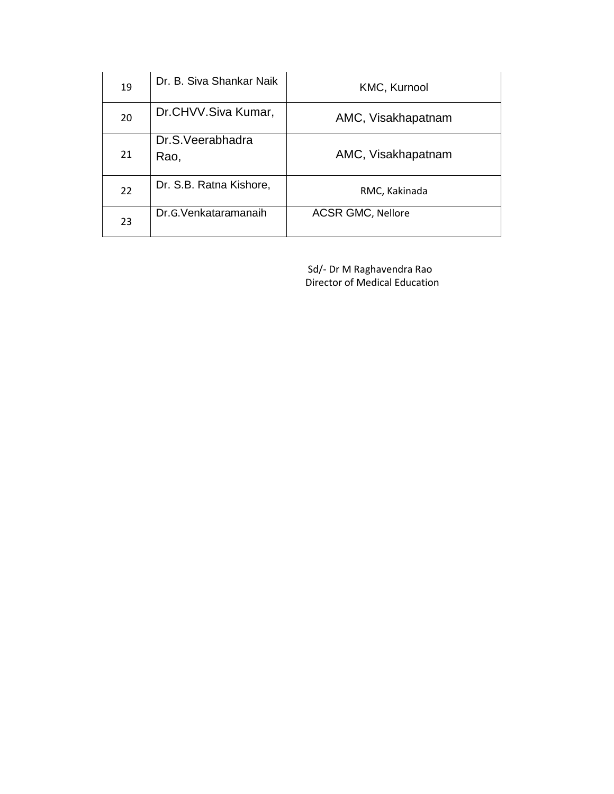| 19 | Dr. B. Siva Shankar Naik | <b>KMC, Kurnool</b>      |  |
|----|--------------------------|--------------------------|--|
| 20 | Dr.CHVV.Siva Kumar,      | AMC, Visakhapatnam       |  |
| 21 | Dr.S.Veerabhadra<br>Rao, | AMC, Visakhapatnam       |  |
| 22 | Dr. S.B. Ratna Kishore,  | RMC, Kakinada            |  |
| 23 | Dr.G. Venkataramanaih    | <b>ACSR GMC, Nellore</b> |  |

 Sd/- Dr M Raghavendra Rao Director of Medical Education